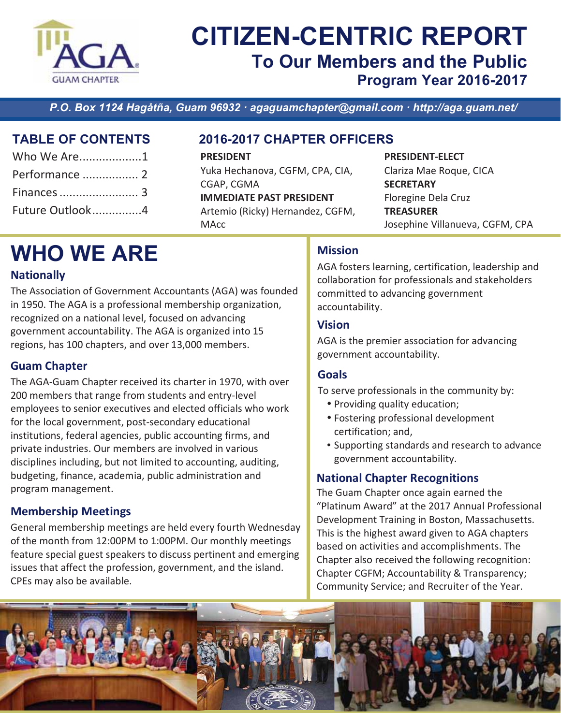

### **CITIZEN-CENTRIC REPORT To Our Members and the Public** Program Year 2016-2017

P.O. Box 1124 Hagåtña, Guam 96932 · agaguamchapter@gmail.com · http://aga.guam.net/

### **TABLE OF CONTENTS**

| Who We Are1     |  |
|-----------------|--|
| Performance  2  |  |
|                 |  |
| Future Outlook4 |  |

### 2016-2017 CHAPTER OFFICERS

**PRESIDENT** Yuka Hechanova, CGFM, CPA, CIA, CGAP, CGMA **IMMEDIATE PAST PRESIDENT** Artemio (Ricky) Hernandez, CGFM, **MAcc** 

**PRESIDENT-ELECT** 

Clariza Mae Roque, CICA **SECRETARY Floregine Dela Cruz TREASURER** Josephine Villanueva, CGFM, CPA

# **WHO WE ARE**

### **Nationally**

The Association of Government Accountants (AGA) was founded in 1950. The AGA is a professional membership organization, recognized on a national level, focused on advancing government accountability. The AGA is organized into 15 regions, has 100 chapters, and over 13,000 members.

### **Guam Chapter**

The AGA-Guam Chapter received its charter in 1970, with over 200 members that range from students and entry-level employees to senior executives and elected officials who work for the local government, post-secondary educational institutions, federal agencies, public accounting firms, and private industries. Our members are involved in various disciplines including, but not limited to accounting, auditing, budgeting, finance, academia, public administration and program management.

### **Membership Meetings**

General membership meetings are held every fourth Wednesday of the month from 12:00PM to 1:00PM. Our monthly meetings feature special guest speakers to discuss pertinent and emerging issues that affect the profession, government, and the island. CPEs may also be available.

### **Mission**

AGA fosters learning, certification, leadership and collaboration for professionals and stakeholders committed to advancing government accountability.

### **Vision**

AGA is the premier association for advancing government accountability.

### **Goals**

To serve professionals in the community by:

- Providing quality education;
- Fostering professional development certification; and,
- Supporting standards and research to advance government accountability.

### **National Chapter Recognitions**

The Guam Chapter once again earned the "Platinum Award" at the 2017 Annual Professional Development Training in Boston, Massachusetts. This is the highest award given to AGA chapters based on activities and accomplishments. The Chapter also received the following recognition: Chapter CGFM; Accountability & Transparency; Community Service; and Recruiter of the Year.

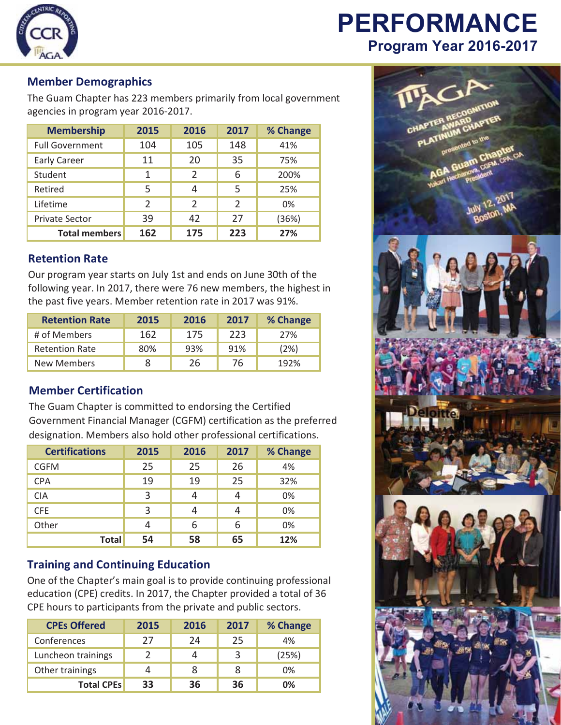

## **PERFORMANCE** Program Year 2016-2017

#### **Member Demographics**

The Guam Chapter has 223 members primarily from local government agencies in program year 2016-2017.

| <b>Membership</b>      | 2015           | 2016           | 2017           | % Change |
|------------------------|----------------|----------------|----------------|----------|
| <b>Full Government</b> | 104            | 105            | 148            | 41%      |
| <b>Early Career</b>    | 11             | 20             | 35             | 75%      |
| Student                | 1              | $\overline{2}$ | 6              | 200%     |
| Retired                | 5              | 4              | 5              | 25%      |
| Lifetime               | $\mathfrak{p}$ | $\mathfrak{D}$ | $\overline{2}$ | 0%       |
| <b>Private Sector</b>  | 39             | 42             | 27             | (36%)    |
| <b>Total members</b>   | 162            | 175            | 223            | 27%      |

### **Retention Rate**

Our program year starts on July 1st and ends on June 30th of the following year. In 2017, there were 76 new members, the highest in the past five years. Member retention rate in 2017 was 91%.

| <b>Retention Rate</b> | 2015 | 2016 | 2017 | % Change |
|-----------------------|------|------|------|----------|
| # of Members          | 162  | 175  | 223  | 27%      |
| <b>Retention Rate</b> | 80%  | 93%  | 91%  | (2%)     |
| New Members           |      | 26   | 76   | 192%     |

### **Member Certification**

The Guam Chapter is committed to endorsing the Certified Government Financial Manager (CGFM) certification as the preferred designation. Members also hold other professional certifications.

| <b>Certifications</b> | 2015 | 2016 | 2017 | % Change |
|-----------------------|------|------|------|----------|
| <b>CGFM</b>           | 25   | 25   | 26   | 4%       |
| <b>CPA</b>            | 19   | 19   | 25   | 32%      |
| <b>CIA</b>            | 3    | 4    | 4    | 0%       |
| <b>CFE</b>            | 3    | 4    | 4    | 0%       |
| Other                 | 4    | 6    | 6    | 0%       |
| <b>Total</b>          | 54   | 58   | 65   | 12%      |

#### **Training and Continuing Education**

One of the Chapter's main goal is to provide continuing professional education (CPE) credits. In 2017, the Chapter provided a total of 36 CPE hours to participants from the private and public sectors.

| <b>CPEs Offered</b> | 2015 | 2016 | 2017 | % Change |
|---------------------|------|------|------|----------|
| Conferences         | 27   | 24   | 25   | 4%       |
| Luncheon trainings  |      | 4    |      | (25%)    |
| Other trainings     | 4    | 8    | 8    | 0%       |
| <b>Total CPEs</b>   | 33   | 36   | 36   | 0%       |

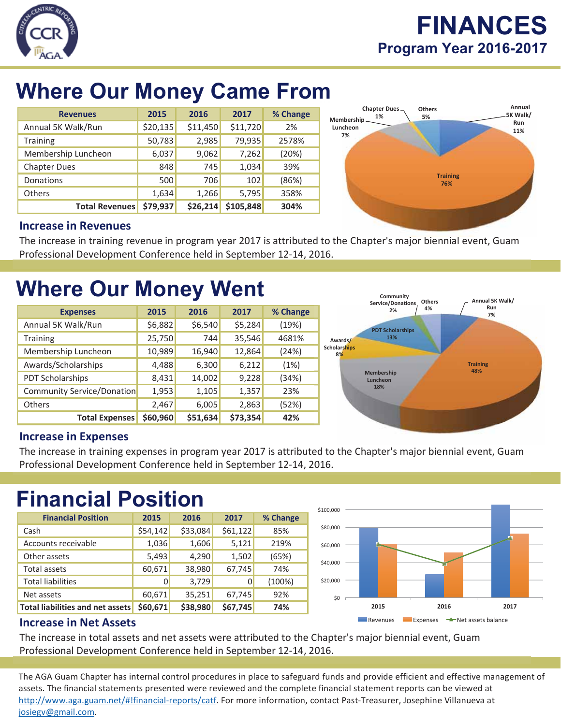

## **FINANCES** Program Year 2016-2017

# **Where Our Money Came From**

| <b>Revenues</b>       | 2015     | 2016     | 2017      | % Change |
|-----------------------|----------|----------|-----------|----------|
| Annual 5K Walk/Run    | \$20,135 | \$11,450 | \$11,720  | 2%       |
| <b>Training</b>       | 50,783   | 2,985    | 79,935    | 2578%    |
| Membership Luncheon   | 6,037    | 9,062    | 7,262     | (20%)    |
| <b>Chapter Dues</b>   | 848      | 745      | 1,034     | 39%      |
| Donations             | 500      | 706      | 102       | (86%)    |
| <b>Others</b>         | 1,634    | 1,266    | 5,795     | 358%     |
| <b>Total Revenues</b> | \$79,937 | \$26,214 | \$105,848 | 304%     |



### **Increase in Revenues**

The increase in training revenue in program year 2017 is attributed to the Chapter's major biennial event, Guam Professional Development Conference held in September 12-14, 2016.

# **Where Our Money Went**

| <b>Expenses</b>                   | 2015     | 2016     | 2017     | % Change |
|-----------------------------------|----------|----------|----------|----------|
| Annual 5K Walk/Run                | \$6,882  | \$6,540  | \$5,284  | (19%)    |
| <b>Training</b>                   | 25,750   | 744      | 35,546   | 4681%    |
| Membership Luncheon               | 10,989   | 16,940   | 12,864   | (24%)    |
| Awards/Scholarships               | 4,488    | 6,300    | 6,212    | (1%)     |
| PDT Scholarships                  | 8,431    | 14,002   | 9,228    | (34%)    |
| <b>Community Service/Donation</b> | 1,953    | 1,105    | 1,357    | 23%      |
| <b>Others</b>                     | 2,467    | 6,005    | 2,863    | (52%)    |
| <b>Total Expenses</b>             | \$60,960 | \$51,634 | \$73,354 | 42%      |



### **Increase in Expenses**

The increase in training expenses in program year 2017 is attributed to the Chapter's major biennial event, Guam Professional Development Conference held in September 12-14, 2016.

# **Financial Position**

| <b>Financial Position</b>        | 2015     | 2016     | 2017     | % Change |
|----------------------------------|----------|----------|----------|----------|
| Cash                             | \$54,142 | \$33,084 | \$61,122 | 85%      |
| Accounts receivable              | 1,036    | 1,606    | 5,121    | 219%     |
| Other assets                     | 5,493    | 4,290    | 1,502    | (65%)    |
| <b>Total assets</b>              | 60,671   | 38,980   | 67,745   | 74%      |
| <b>Total liabilities</b>         | 0        | 3,729    | 0        | (100%)   |
| Net assets                       | 60,671   | 35,251   | 67,745   | 92%      |
| Total liabilities and net assets | \$60,671 | \$38,980 | \$67,745 | 74%      |



### **Increase in Net Assets**

The increase in total assets and net assets were attributed to the Chapter's major biennial event, Guam Professional Development Conference held in September 12-14, 2016.

The AGA Guam Chapter has internal control procedures in place to safeguard funds and provide efficient and effective management of assets. The financial statements presented were reviewed and the complete financial statement reports can be viewed at http://www.aga.guam.net/#!financial-reports/catf. For more information, contact Past-Treasurer, Josephine Villanueva at josiegv@gmail.com.